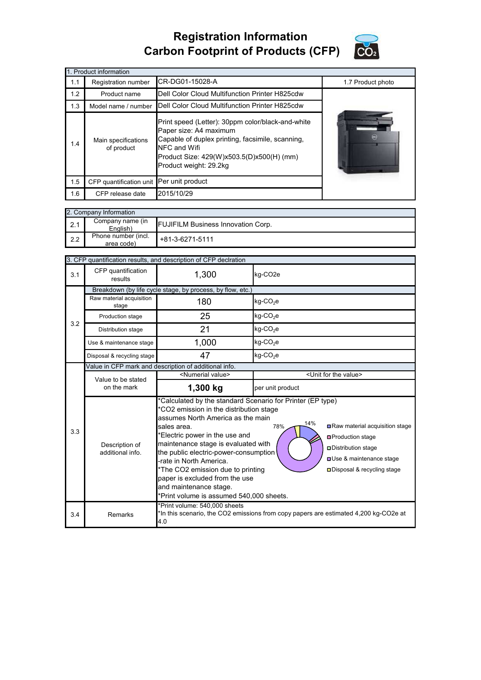## **Registration Information Carbon Footprint of Products (CFP)**



| 1. Product information |                                                                                                                                                                                                                                                             |                                                |                   |  |  |  |  |
|------------------------|-------------------------------------------------------------------------------------------------------------------------------------------------------------------------------------------------------------------------------------------------------------|------------------------------------------------|-------------------|--|--|--|--|
| 1.1                    | Registration number                                                                                                                                                                                                                                         | CR-DG01-15028-A                                | 1.7 Product photo |  |  |  |  |
| 1.2                    | Product name                                                                                                                                                                                                                                                | Dell Color Cloud Multifunction Printer H825cdw |                   |  |  |  |  |
| 1.3                    | Model name / number                                                                                                                                                                                                                                         |                                                |                   |  |  |  |  |
| 1.4                    | Print speed (Letter): 30ppm color/black-and-white<br>Paper size: A4 maximum<br>Capable of duplex printing, facsimile, scanning,<br>Main specifications<br>NFC and Wifi<br>of product<br>Product Size: 429(W)x503.5(D)x500(H) (mm)<br>Product weight: 29.2kg |                                                |                   |  |  |  |  |
| 1.5                    | CFP quantification unit Per unit product                                                                                                                                                                                                                    |                                                |                   |  |  |  |  |
| 1.6                    | CFP release date                                                                                                                                                                                                                                            | 2015/10/29                                     |                   |  |  |  |  |

|     | 2. Company Information            |                                           |  |  |  |  |
|-----|-----------------------------------|-------------------------------------------|--|--|--|--|
| 2.1 | Company name (in<br>English)      | <b>FUJIFILM Business Innovation Corp.</b> |  |  |  |  |
| 2.2 | Phone number (incl.<br>area code) | $+81-3-6271-5111$                         |  |  |  |  |

| 3. CFP quantification results, and description of CFP declration |                                                            |                                                                                                                                                                                                                                                                                                                                                                                                                                                                                                                                                                                                                                 |                                      |  |  |
|------------------------------------------------------------------|------------------------------------------------------------|---------------------------------------------------------------------------------------------------------------------------------------------------------------------------------------------------------------------------------------------------------------------------------------------------------------------------------------------------------------------------------------------------------------------------------------------------------------------------------------------------------------------------------------------------------------------------------------------------------------------------------|--------------------------------------|--|--|
| 3.1                                                              | CFP quantification<br>results                              | 1,300                                                                                                                                                                                                                                                                                                                                                                                                                                                                                                                                                                                                                           | kg-CO <sub>2</sub> e                 |  |  |
|                                                                  | Breakdown (by life cycle stage, by process, by flow, etc.) |                                                                                                                                                                                                                                                                                                                                                                                                                                                                                                                                                                                                                                 |                                      |  |  |
|                                                                  | Raw material acquisition<br>stage                          | 180                                                                                                                                                                                                                                                                                                                                                                                                                                                                                                                                                                                                                             | kg-CO <sub>2</sub> e                 |  |  |
| 3.2                                                              | Production stage                                           | 25                                                                                                                                                                                                                                                                                                                                                                                                                                                                                                                                                                                                                              | kg-CO <sub>2</sub> e                 |  |  |
|                                                                  | Distribution stage                                         | 21                                                                                                                                                                                                                                                                                                                                                                                                                                                                                                                                                                                                                              | $kg$ -CO <sub>2</sub> e              |  |  |
|                                                                  | Use & maintenance stage                                    | 1,000                                                                                                                                                                                                                                                                                                                                                                                                                                                                                                                                                                                                                           | $kg$ -CO <sub>2</sub> e              |  |  |
|                                                                  | Disposal & recycling stage                                 | 47                                                                                                                                                                                                                                                                                                                                                                                                                                                                                                                                                                                                                              | $kg$ -CO <sub>2</sub> e              |  |  |
|                                                                  | Value in CFP mark and description of additional info.      |                                                                                                                                                                                                                                                                                                                                                                                                                                                                                                                                                                                                                                 |                                      |  |  |
|                                                                  | Value to be stated                                         | <numerial value=""></numerial>                                                                                                                                                                                                                                                                                                                                                                                                                                                                                                                                                                                                  | <unit for="" the="" value=""></unit> |  |  |
|                                                                  | on the mark                                                | 1,300 kg                                                                                                                                                                                                                                                                                                                                                                                                                                                                                                                                                                                                                        | per unit product                     |  |  |
| 3.3                                                              | Description of<br>additional info.                         | *Calculated by the standard Scenario for Printer (EP type)<br>*CO2 emission in the distribution stage<br>assumes North America as the main<br>14%<br>Raw material acquisition stage<br>78%<br>sales area.<br>*Electric power in the use and<br><b>□</b> Production stage<br>maintenance stage is evaluated with<br>□ Distribution stage<br>the public electric-power-consumption<br><b>OUse &amp; maintenance stage</b><br>-rate in North America.<br>*The CO2 emission due to printing<br>□ Disposal & recycling stage<br>paper is excluded from the use<br>and maintenance stage.<br>*Print volume is assumed 540,000 sheets. |                                      |  |  |
| 3.4                                                              | Remarks                                                    | *Print volume: 540,000 sheets<br>*In this scenario, the CO2 emissions from copy papers are estimated 4,200 kg-CO2e at<br>4.0                                                                                                                                                                                                                                                                                                                                                                                                                                                                                                    |                                      |  |  |